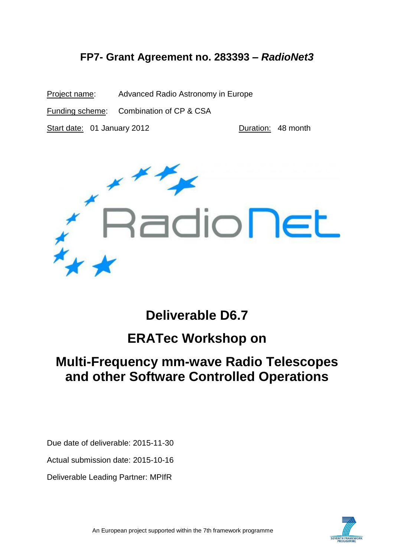## **FP7- Grant Agreement no. 283393 –** *RadioNet3*

Project name: Advanced Radio Astronomy in Europe Funding scheme: Combination of CP & CSA Start date: 01 January 2012 **Duration: 48 month** 



**Deliverable D6.7**

## **ERATec Workshop on**

# **Multi-Frequency mm-wave Radio Telescopes and other Software Controlled Operations**

Due date of deliverable: 2015-11-30

Actual submission date: 2015-10-16

Deliverable Leading Partner: MPIfR

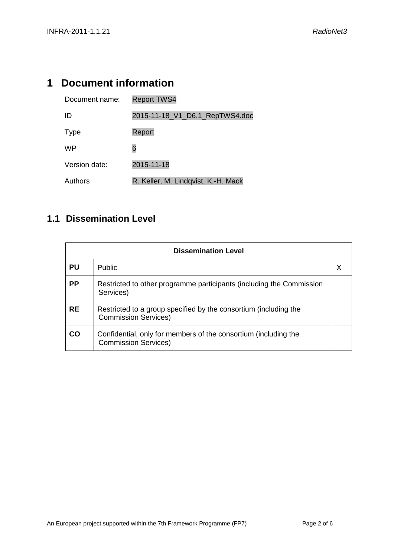## <span id="page-1-0"></span>**1 Document information**

| Document name: | <b>Report TWS4</b>                  |
|----------------|-------------------------------------|
| ID             | 2015-11-18_V1_D6.1_RepTWS4.doc      |
| <b>Type</b>    | Report                              |
| WP             | 6                                   |
| Version date:  | 2015-11-18                          |
| Authors        | R. Keller, M. Lindqvist, K.-H. Mack |

### <span id="page-1-1"></span>**1.1 Dissemination Level**

| <b>Dissemination Level</b> |                                                                                                 |  |  |  |
|----------------------------|-------------------------------------------------------------------------------------------------|--|--|--|
| <b>PU</b>                  | <b>Public</b>                                                                                   |  |  |  |
| <b>PP</b>                  | Restricted to other programme participants (including the Commission<br>Services)               |  |  |  |
| <b>RE</b>                  | Restricted to a group specified by the consortium (including the<br><b>Commission Services)</b> |  |  |  |
| CO                         | Confidential, only for members of the consortium (including the<br><b>Commission Services)</b>  |  |  |  |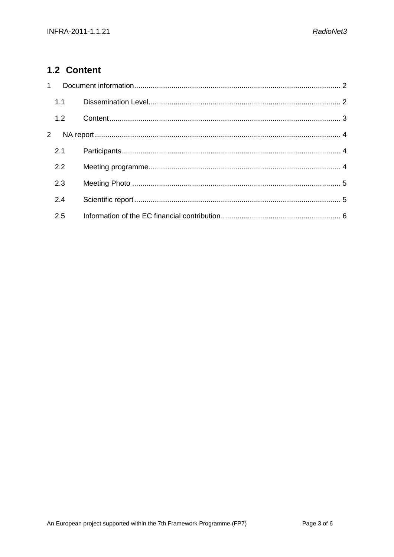### <span id="page-2-0"></span>1.2 Content

| $1 \quad$      |     |  |  |
|----------------|-----|--|--|
|                | 1.1 |  |  |
|                | 1.2 |  |  |
| $\overline{2}$ |     |  |  |
|                | 2.1 |  |  |
|                | 2.2 |  |  |
|                | 2.3 |  |  |
|                | 2.4 |  |  |
|                | 2.5 |  |  |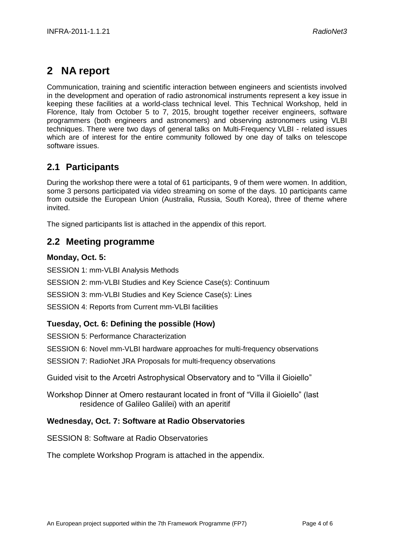## <span id="page-3-0"></span>**2 NA report**

Communication, training and scientific interaction between engineers and scientists involved in the development and operation of radio astronomical instruments represent a key issue in keeping these facilities at a world-class technical level. This Technical Workshop, held in Florence, Italy from October 5 to 7, 2015, brought together receiver engineers, software programmers (both engineers and astronomers) and observing astronomers using VLBI techniques. There were two days of general talks on Multi-Frequency VLBI - related issues which are of interest for the entire community followed by one day of talks on telescope software issues.

### <span id="page-3-1"></span>**2.1 Participants**

During the workshop there were a total of 61 participants, 9 of them were women. In addition, some 3 persons participated via video streaming on some of the days. 10 participants came from outside the European Union (Australia, Russia, South Korea), three of theme where invited.

The signed participants list is attached in the appendix of this report.

#### <span id="page-3-2"></span>**2.2 Meeting programme**

#### **Monday, Oct. 5:**

SESSION 1: mm-VLBI Analysis Methods SESSION 2: mm-VLBI Studies and Key Science Case(s): Continuum SESSION 3: mm-VLBI Studies and Key Science Case(s): Lines SESSION 4: Reports from Current mm-VLBI facilities

#### **Tuesday, Oct. 6: Defining the possible (How)**

SESSION 5: Performance Characterization

SESSION 6: Novel mm-VLBI hardware approaches for multi-frequency observations

SESSION 7: RadioNet JRA Proposals for multi-frequency observations

Guided visit to the Arcetri Astrophysical Observatory and to "Villa il Gioiello"

Workshop Dinner at Omero restaurant located in front of "Villa il Gioiello" (last residence of Galileo Galilei) with an aperitif

#### **Wednesday, Oct. 7: Software at Radio Observatories**

SESSION 8: Software at Radio Observatories

The complete Workshop Program is attached in the appendix.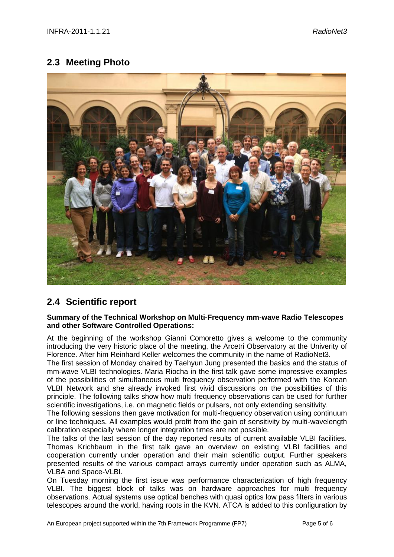### <span id="page-4-0"></span>**2.3 Meeting Photo**



### <span id="page-4-1"></span>**2.4 Scientific report**

#### **Summary of the Technical Workshop on Multi-Frequency mm-wave Radio Telescopes and other Software Controlled Operations:**

At the beginning of the workshop Gianni Comoretto gives a welcome to the community introducing the very historic place of the meeting, the Arcetri Observatory at the Univerity of Florence. After him Reinhard Keller welcomes the community in the name of RadioNet3.

The first session of Monday chaired by Taehyun Jung presented the basics and the status of mm-wave VLBI technologies. Maria Riocha in the first talk gave some impressive examples of the possibilities of simultaneous multi frequency observation performed with the Korean VLBI Network and she already invoked first vivid discussions on the possibilities of this principle. The following talks show how multi frequency observations can be used for further scientific investigations, i.e. on magnetic fields or pulsars, not only extending sensitivity.

The following sessions then gave motivation for multi-frequency observation using continuum or line techniques. All examples would profit from the gain of sensitivity by multi-wavelength calibration especially where longer integration times are not possible.

The talks of the last session of the day reported results of current available VLBI facilities. Thomas Krichbaum in the first talk gave an overview on existing VLBI facilities and cooperation currently under operation and their main scientific output. Further speakers presented results of the various compact arrays currently under operation such as ALMA, VLBA and Space-VLBI.

On Tuesday morning the first issue was performance characterization of high frequency VLBI. The biggest block of talks was on hardware approaches for multi frequency observations. Actual systems use optical benches with quasi optics low pass filters in various telescopes around the world, having roots in the KVN. ATCA is added to this configuration by